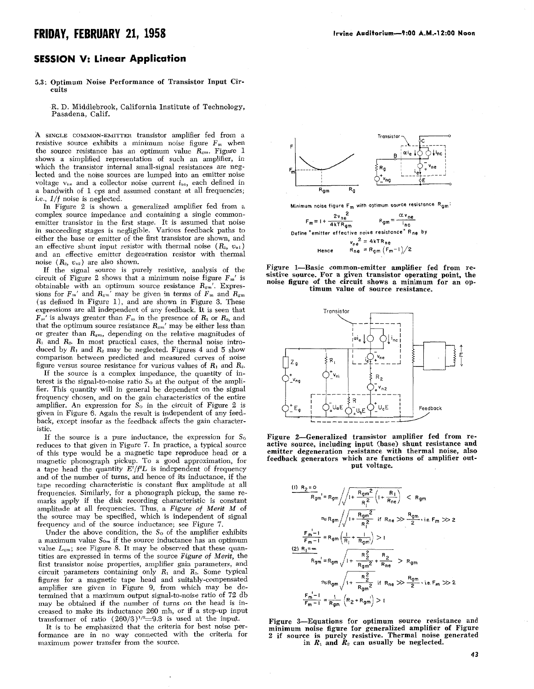## **FRIDAY, FEBRUARY 21, 1958 In the Auditorium-9:00 A.M.-12:00 Noon**

## **SESSION V: linear Application**

## 5.3: Optimum Noise Performance of Transistor Input Circuits

R. D. Middlebrook, California Institute of Technology, Pasadena, Calif.

*h* **SINGLE** COMMON-EMITTER transistor amplifier fed from a resistive source exhibits a minimum noise figure  $F_m$  when the source resistance has an optimum value  $R_{\rm gm}$ . Figure 1 shows a simplified representation of such an amplifier, in which the transistor internal small-signal resistances are neglected and the noise sources are lumped into an emitter noise voltage  $v_{10}$  and a collector noise current  $i_{nc}$ , each defined in a bandwith of 1 cps and assumed constant at all frequencies; i.e.,  $1/f$  noise is neglected.

In Figure *2* is shown a generalized amplifier fed from a complex source impedance and containing a single commonemitter transistor in the first stage. It is assumed that noise in succeeding stages is negligible. Various feedback paths to either the base or emitter of the first transistor are shown, and an effective shunt input resistor with thermal noise  $(R_1, v_{n1})$ and an effective emitter degeneration resistor with thermal noise  $(R_2, v_{n2})$  are also shown.

**If** the signal source is purely resistive, analysis of the circuit of Figure 2 shows that a minimum noise figure  $F_m'$  is obtainable with an optimum source resistance *Rgm'.* Expressions for  $F_m'$  and  $R_{gm}$ <sup>7</sup> may be given in terms of  $F_m$  and  $R_{gm}$ (as defined in Figure 1 ), and are shown in Figure **3.** These expressions are all independent of any feedback. It is seen that  $F_m'$  is always greater than  $F_m$  in the presence of  $R_1$  or  $R_2$ , and that the optimum source resistance  $R_{\rm gm}$ ' may be either less than or greater than  $R_{gm}$ , depending on the relative magnitudes of *R1* and *R-.* In most practical cases, the thermal noise introduced by  $R_1$  and  $R_2$  may be neglected. Figures 4 and 5 show comparison between predicted and measured curves of noise figure versus source resistance for various values of *R1* and *R2.* 

If the source is a complex impedance, the quantity of interest is the signal-to-noise ratio  $S_0$  at the output of the amplifier. This quantity will in general be dependent on the signal frequency chosen, and on the gain characteristics of the entire amplifier. An expression for *So* in the circuit of Figure *2* is given in Figure **6.** Again the result is independent of any feedback, except insofar as the feedback affects the gain characteristic.

If the source is a pure inductance, the expression for  $S_0$ reduces to that given in Figure *7.* In practice, a typical source of this type would be a magnetic tape reproduce head or a magnetic phonograph pickup. To a good approximation, fo a tape head the quantity  $E^2/f^2L$  is independent of frequency and of the number of turns, and hence of its inductance, if the tape recording characteristic is constant **flux** amplitude at all frequencies. Similarly, for a phonograph pickup, the same remarks apply if the disk recording characteristic is constant amplitude at all frequencies. Thus, a Figure of Merit M of the source may be specified, which is independent of signal frequency and of the source inductance; see Figure *7.* 

Under the above condition, the S<sub>o</sub> of the amplifier exhibits a maximum value S<sub>om</sub> if the source inductance has an optimum value  $L_{\rm gm}$ ; see Figure 8. It may be observed that these quantities are expressed in terms of the source *Figure* of *Merit,* the first transistor noise properties, amplifier gain parameters, and circuit parameters containing only  $R_1$  and  $R_2$ . Some typical figures for a magnetic tape head and suitably-compensated amplifier are given in Figure 9, from which may be determined that a maximum output signal-to-noise ratio of *72* db may be obtained if the number of turns on the head is increased to make its inductance **260** mh, or if a step-up input transformer of ratio  $(260/3)^{1/2}$ =9.3 is used at the input.

It is to be emphasized that the criteria for best noise performance are in no way connected with the criteria for maximum power transfer from the source.



Minimum noise figure **F,** with optimum source resistance Rgm:

 $\frac{\alpha v_{ne}}{n c}$ **4kTR<sub>gm</sub>** Define "emitter effective noise resistance" R<sub>ne</sub> by  $v_{ne}^2$  = 4kTR<sub>ne</sub> Hence  $R_{ne} = R_{gm} (F_m-1)/2$ 









Figure 3-Equations for optimum source resistance and minimum noise figure for generalized amplifier of Figure 2 if source is purely resistive. Thermal noise in  $R_1$  and  $R_2$  can usually be neglect